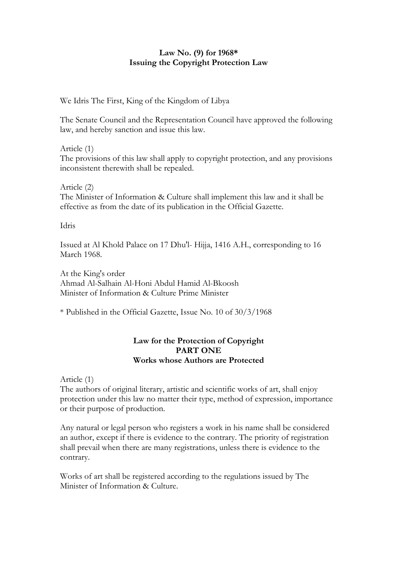## **Law No. (9) for 1968\* Issuing the Copyright Protection Law**

We Idris The First, King of the Kingdom of Libya

The Senate Council and the Representation Council have approved the following law, and hereby sanction and issue this law.

Article (1) The provisions of this law shall apply to copyright protection, and any provisions inconsistent therewith shall be repealed.

Article (2) The Minister of Information & Culture shall implement this law and it shall be effective as from the date of its publication in the Official Gazette.

Idris

Issued at Al Khold Palace on 17 Dhu'l- Hijja, 1416 A.H., corresponding to 16 March 1968.

At the King's order Ahmad Al-Salhain Al-Honi Abdul Hamid Al-Bkoosh Minister of Information & Culture Prime Minister

\* Published in the Official Gazette, Issue No. 10 of 30/3/1968

# **Law for the Protection of Copyright PART ONE Works whose Authors are Protected**

Article (1)

The authors of original literary, artistic and scientific works of art, shall enjoy protection under this law no matter their type, method of expression, importance or their purpose of production.

Any natural or legal person who registers a work in his name shall be considered an author, except if there is evidence to the contrary. The priority of registration shall prevail when there are many registrations, unless there is evidence to the contrary.

Works of art shall be registered according to the regulations issued by The Minister of Information & Culture.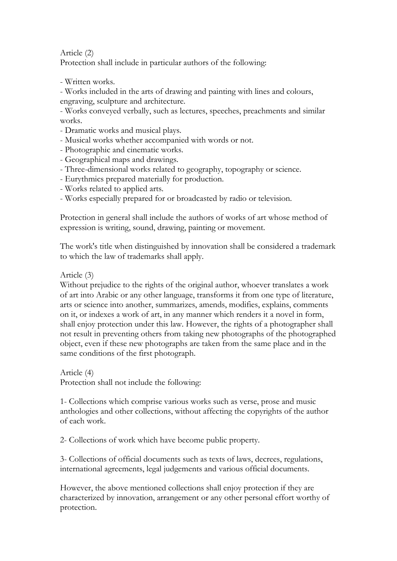Article (2)

Protection shall include in particular authors of the following:

- Written works.

- Works included in the arts of drawing and painting with lines and colours, engraving, sculpture and architecture.

- Works conveyed verbally, such as lectures, speeches, preachments and similar works.

- Dramatic works and musical plays.
- Musical works whether accompanied with words or not.
- Photographic and cinematic works.
- Geographical maps and drawings.
- Three-dimensional works related to geography, topography or science.
- Eurythmics prepared materially for production.
- Works related to applied arts.
- Works especially prepared for or broadcasted by radio or television.

Protection in general shall include the authors of works of art whose method of expression is writing, sound, drawing, painting or movement.

The work's title when distinguished by innovation shall be considered a trademark to which the law of trademarks shall apply.

Article (3)

Without prejudice to the rights of the original author, whoever translates a work of art into Arabic or any other language, transforms it from one type of literature, arts or science into another, summarizes, amends, modifies, explains, comments on it, or indexes a work of art, in any manner which renders it a novel in form, shall enjoy protection under this law. However, the rights of a photographer shall not result in preventing others from taking new photographs of the photographed object, even if these new photographs are taken from the same place and in the same conditions of the first photograph.

Article (4)

Protection shall not include the following:

1- Collections which comprise various works such as verse, prose and music anthologies and other collections, without affecting the copyrights of the author of each work.

2- Collections of work which have become public property.

3- Collections of official documents such as texts of laws, decrees, regulations, international agreements, legal judgements and various official documents.

However, the above mentioned collections shall enjoy protection if they are characterized by innovation, arrangement or any other personal effort worthy of protection.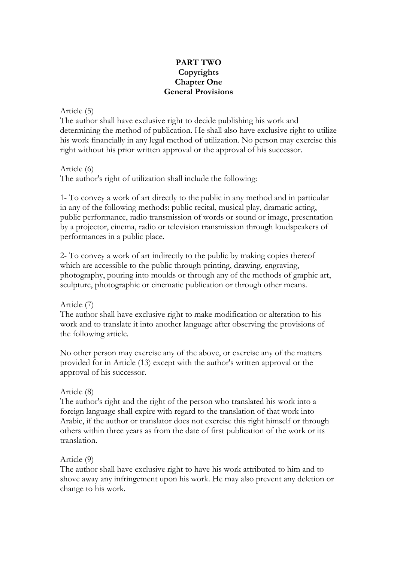## **PART TWO Copyrights Chapter One General Provisions**

Article (5)

The author shall have exclusive right to decide publishing his work and determining the method of publication. He shall also have exclusive right to utilize his work financially in any legal method of utilization. No person may exercise this right without his prior written approval or the approval of his successor.

Article (6)

The author's right of utilization shall include the following:

1- To convey a work of art directly to the public in any method and in particular in any of the following methods: public recital, musical play, dramatic acting, public performance, radio transmission of words or sound or image, presentation by a projector, cinema, radio or television transmission through loudspeakers of performances in a public place.

2- To convey a work of art indirectly to the public by making copies thereof which are accessible to the public through printing, drawing, engraving, photography, pouring into moulds or through any of the methods of graphic art, sculpture, photographic or cinematic publication or through other means.

Article (7)

The author shall have exclusive right to make modification or alteration to his work and to translate it into another language after observing the provisions of the following article.

No other person may exercise any of the above, or exercise any of the matters provided for in Article (13) except with the author's written approval or the approval of his successor.

### Article (8)

The author's right and the right of the person who translated his work into a foreign language shall expire with regard to the translation of that work into Arabic, if the author or translator does not exercise this right himself or through others within three years as from the date of first publication of the work or its translation.

### Article (9)

The author shall have exclusive right to have his work attributed to him and to shove away any infringement upon his work. He may also prevent any deletion or change to his work.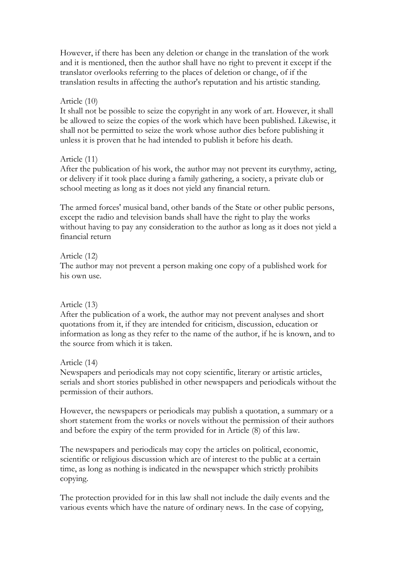However, if there has been any deletion or change in the translation of the work and it is mentioned, then the author shall have no right to prevent it except if the translator overlooks referring to the places of deletion or change, of if the translation results in affecting the author's reputation and his artistic standing.

### Article (10)

It shall not be possible to seize the copyright in any work of art. However, it shall be allowed to seize the copies of the work which have been published. Likewise, it shall not be permitted to seize the work whose author dies before publishing it unless it is proven that he had intended to publish it before his death.

### Article (11)

After the publication of his work, the author may not prevent its eurythmy, acting, or delivery if it took place during a family gathering, a society, a private club or school meeting as long as it does not yield any financial return.

The armed forces' musical band, other bands of the State or other public persons, except the radio and television bands shall have the right to play the works without having to pay any consideration to the author as long as it does not yield a financial return

### Article (12)

The author may not prevent a person making one copy of a published work for his own use.

## Article (13)

After the publication of a work, the author may not prevent analyses and short quotations from it, if they are intended for criticism, discussion, education or information as long as they refer to the name of the author, if he is known, and to the source from which it is taken.

## Article (14)

Newspapers and periodicals may not copy scientific, literary or artistic articles, serials and short stories published in other newspapers and periodicals without the permission of their authors.

However, the newspapers or periodicals may publish a quotation, a summary or a short statement from the works or novels without the permission of their authors and before the expiry of the term provided for in Article (8) of this law.

The newspapers and periodicals may copy the articles on political, economic, scientific or religious discussion which are of interest to the public at a certain time, as long as nothing is indicated in the newspaper which strictly prohibits copying.

The protection provided for in this law shall not include the daily events and the various events which have the nature of ordinary news. In the case of copying,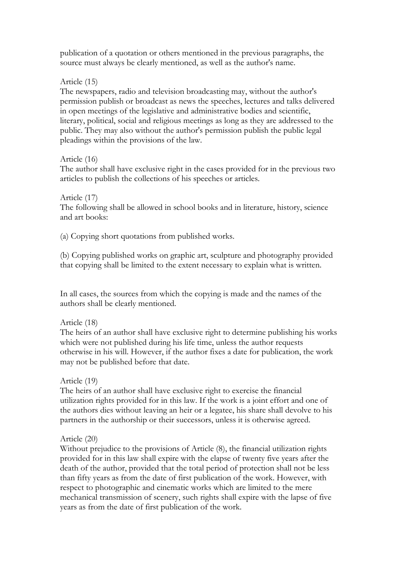publication of a quotation or others mentioned in the previous paragraphs, the source must always be clearly mentioned, as well as the author's name.

### Article (15)

The newspapers, radio and television broadcasting may, without the author's permission publish or broadcast as news the speeches, lectures and talks delivered in open meetings of the legislative and administrative bodies and scientific, literary, political, social and religious meetings as long as they are addressed to the public. They may also without the author's permission publish the public legal pleadings within the provisions of the law.

### Article (16)

The author shall have exclusive right in the cases provided for in the previous two articles to publish the collections of his speeches or articles.

### Article (17)

The following shall be allowed in school books and in literature, history, science and art books:

(a) Copying short quotations from published works.

(b) Copying published works on graphic art, sculpture and photography provided that copying shall be limited to the extent necessary to explain what is written.

In all cases, the sources from which the copying is made and the names of the authors shall be clearly mentioned.

## Article (18)

The heirs of an author shall have exclusive right to determine publishing his works which were not published during his life time, unless the author requests otherwise in his will. However, if the author fixes a date for publication, the work may not be published before that date.

## Article (19)

The heirs of an author shall have exclusive right to exercise the financial utilization rights provided for in this law. If the work is a joint effort and one of the authors dies without leaving an heir or a legatee, his share shall devolve to his partners in the authorship or their successors, unless it is otherwise agreed.

## Article (20)

Without prejudice to the provisions of Article (8), the financial utilization rights provided for in this law shall expire with the elapse of twenty five years after the death of the author, provided that the total period of protection shall not be less than fifty years as from the date of first publication of the work. However, with respect to photographic and cinematic works which are limited to the mere mechanical transmission of scenery, such rights shall expire with the lapse of five years as from the date of first publication of the work.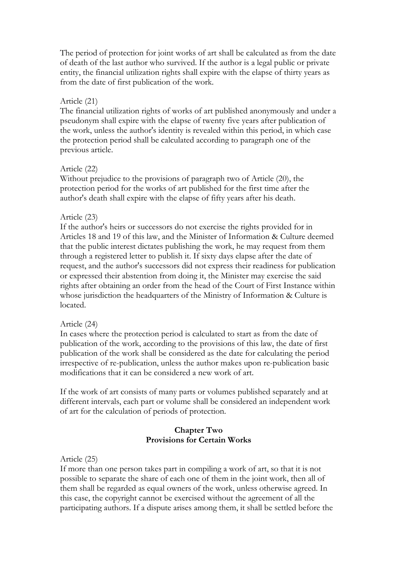The period of protection for joint works of art shall be calculated as from the date of death of the last author who survived. If the author is a legal public or private entity, the financial utilization rights shall expire with the elapse of thirty years as from the date of first publication of the work.

### Article (21)

The financial utilization rights of works of art published anonymously and under a pseudonym shall expire with the elapse of twenty five years after publication of the work, unless the author's identity is revealed within this period, in which case the protection period shall be calculated according to paragraph one of the previous article.

### Article (22)

Without prejudice to the provisions of paragraph two of Article (20), the protection period for the works of art published for the first time after the author's death shall expire with the elapse of fifty years after his death.

#### Article (23)

If the author's heirs or successors do not exercise the rights provided for in Articles 18 and 19 of this law, and the Minister of Information & Culture deemed that the public interest dictates publishing the work, he may request from them through a registered letter to publish it. If sixty days elapse after the date of request, and the author's successors did not express their readiness for publication or expressed their abstention from doing it, the Minister may exercise the said rights after obtaining an order from the head of the Court of First Instance within whose jurisdiction the headquarters of the Ministry of Information & Culture is located.

#### Article (24)

In cases where the protection period is calculated to start as from the date of publication of the work, according to the provisions of this law, the date of first publication of the work shall be considered as the date for calculating the period irrespective of re-publication, unless the author makes upon re-publication basic modifications that it can be considered a new work of art.

If the work of art consists of many parts or volumes published separately and at different intervals, each part or volume shall be considered an independent work of art for the calculation of periods of protection.

### **Chapter Two Provisions for Certain Works**

#### Article (25)

If more than one person takes part in compiling a work of art, so that it is not possible to separate the share of each one of them in the joint work, then all of them shall be regarded as equal owners of the work, unless otherwise agreed. In this case, the copyright cannot be exercised without the agreement of all the participating authors. If a dispute arises among them, it shall be settled before the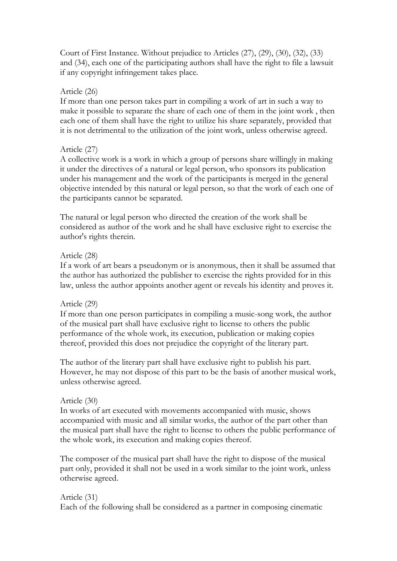Court of First Instance. Without prejudice to Articles (27), (29), (30), (32), (33) and (34), each one of the participating authors shall have the right to file a lawsuit if any copyright infringement takes place.

### Article (26)

If more than one person takes part in compiling a work of art in such a way to make it possible to separate the share of each one of them in the joint work , then each one of them shall have the right to utilize his share separately, provided that it is not detrimental to the utilization of the joint work, unless otherwise agreed.

# Article (27)

A collective work is a work in which a group of persons share willingly in making it under the directives of a natural or legal person, who sponsors its publication under his management and the work of the participants is merged in the general objective intended by this natural or legal person, so that the work of each one of the participants cannot be separated.

The natural or legal person who directed the creation of the work shall be considered as author of the work and he shall have exclusive right to exercise the author's rights therein.

## Article (28)

If a work of art bears a pseudonym or is anonymous, then it shall be assumed that the author has authorized the publisher to exercise the rights provided for in this law, unless the author appoints another agent or reveals his identity and proves it.

## Article (29)

If more than one person participates in compiling a music-song work, the author of the musical part shall have exclusive right to license to others the public performance of the whole work, its execution, publication or making copies thereof, provided this does not prejudice the copyright of the literary part.

The author of the literary part shall have exclusive right to publish his part. However, he may not dispose of this part to be the basis of another musical work, unless otherwise agreed.

### Article (30)

In works of art executed with movements accompanied with music, shows accompanied with music and all similar works, the author of the part other than the musical part shall have the right to license to others the public performance of the whole work, its execution and making copies thereof.

The composer of the musical part shall have the right to dispose of the musical part only, provided it shall not be used in a work similar to the joint work, unless otherwise agreed.

## Article (31)

Each of the following shall be considered as a partner in composing cinematic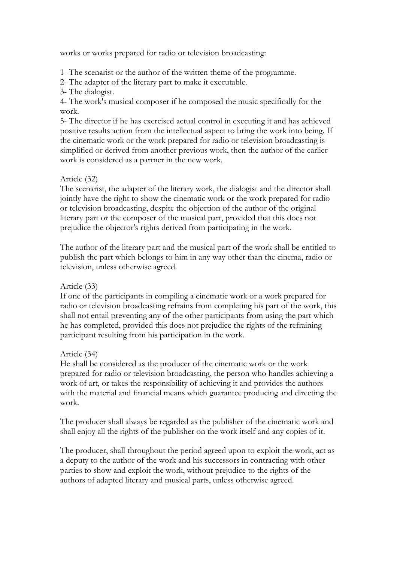works or works prepared for radio or television broadcasting:

1- The scenarist or the author of the written theme of the programme.

2- The adapter of the literary part to make it executable.

3- The dialogist.

4- The work's musical composer if he composed the music specifically for the work.

5- The director if he has exercised actual control in executing it and has achieved positive results action from the intellectual aspect to bring the work into being. If the cinematic work or the work prepared for radio or television broadcasting is simplified or derived from another previous work, then the author of the earlier work is considered as a partner in the new work.

## Article (32)

The scenarist, the adapter of the literary work, the dialogist and the director shall jointly have the right to show the cinematic work or the work prepared for radio or television broadcasting, despite the objection of the author of the original literary part or the composer of the musical part, provided that this does not prejudice the objector's rights derived from participating in the work.

The author of the literary part and the musical part of the work shall be entitled to publish the part which belongs to him in any way other than the cinema, radio or television, unless otherwise agreed.

## Article (33)

If one of the participants in compiling a cinematic work or a work prepared for radio or television broadcasting refrains from completing his part of the work, this shall not entail preventing any of the other participants from using the part which he has completed, provided this does not prejudice the rights of the refraining participant resulting from his participation in the work.

## Article (34)

He shall be considered as the producer of the cinematic work or the work prepared for radio or television broadcasting, the person who handles achieving a work of art, or takes the responsibility of achieving it and provides the authors with the material and financial means which guarantee producing and directing the work.

The producer shall always be regarded as the publisher of the cinematic work and shall enjoy all the rights of the publisher on the work itself and any copies of it.

The producer, shall throughout the period agreed upon to exploit the work, act as a deputy to the author of the work and his successors in contracting with other parties to show and exploit the work, without prejudice to the rights of the authors of adapted literary and musical parts, unless otherwise agreed.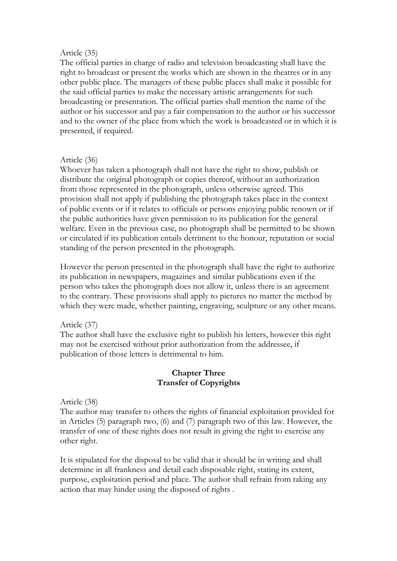### Article (35)

The official parties in charge of radio and television broadcasting shall have the right to broadcast or present the works which are shown in the theatres or in any other public place. The managers of these public places shall make it possible for the said official parties to make the necessary artistic arrangements for such broadcasting or presentation. The official parties shall mention the name of the author or his successor and pay a fair compensation to the author or his successor and to the owner of the place from which the work is broadcasted or in which it is presented, if required.

### Article (36)

Whoever has taken a photograph shall not have the right to show, publish or distribute the original photograph or copies thereof, without an authorization from those represented in the photograph, unless otherwise agreed. This provision shall not apply if publishing the photograph takes place in the context of public events or if it relates to officials or persons enjoying public renown or if the public authorities have given permission to its publication for the general welfare. Even in the previous case, no photograph shall be permitted to be shown or circulated if its publication entails detriment to the honour, reputation or social standing of the person presented in the photograph.

However the person presented in the photograph shall have the right to authorize its publication in newspapers, magazines and similar publications even if the person who takes the photograph does not allow it, unless there is an agreement to the contrary. These provisions shall apply to pictures no matter the method by which they were made, whether painting, engraving, sculpture or any other means.

## Article (37)

The author shall have the exclusive right to publish his letters, however this right may not be exercised without prior authorization from the addressee, if publication of those letters is detrimental to him.

### **Chapter Three Transfer of Copyrights**

Article (38)

The author may transfer to others the rights of financial exploitation provided for in Articles (5) paragraph two, (6) and (7) paragraph two of this law. However, the transfer of one of these rights does not result in giving the right to exercise any other right.

It is stipulated for the disposal to be valid that it should be in writing and shall determine in all frankness and detail each disposable right, stating its extent, purpose, exploitation period and place. The author shall refrain from taking any action that may hinder using the disposed of rights .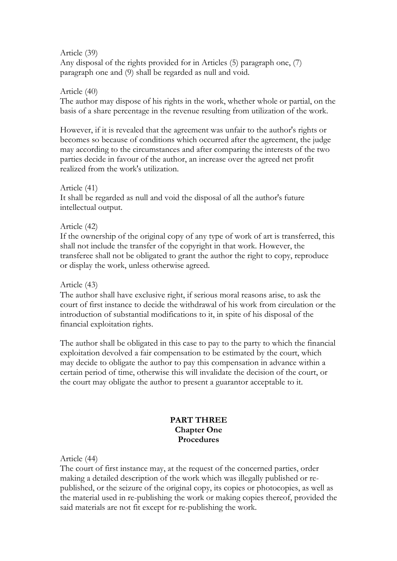### Article (39)

Any disposal of the rights provided for in Articles (5) paragraph one, (7) paragraph one and (9) shall be regarded as null and void.

### Article (40)

The author may dispose of his rights in the work, whether whole or partial, on the basis of a share percentage in the revenue resulting from utilization of the work.

However, if it is revealed that the agreement was unfair to the author's rights or becomes so because of conditions which occurred after the agreement, the judge may according to the circumstances and after comparing the interests of the two parties decide in favour of the author, an increase over the agreed net profit realized from the work's utilization.

## Article (41)

It shall be regarded as null and void the disposal of all the author's future intellectual output.

### Article (42)

If the ownership of the original copy of any type of work of art is transferred, this shall not include the transfer of the copyright in that work. However, the transferee shall not be obligated to grant the author the right to copy, reproduce or display the work, unless otherwise agreed.

### Article (43)

The author shall have exclusive right, if serious moral reasons arise, to ask the court of first instance to decide the withdrawal of his work from circulation or the introduction of substantial modifications to it, in spite of his disposal of the financial exploitation rights.

The author shall be obligated in this case to pay to the party to which the financial exploitation devolved a fair compensation to be estimated by the court, which may decide to obligate the author to pay this compensation in advance within a certain period of time, otherwise this will invalidate the decision of the court, or the court may obligate the author to present a guarantor acceptable to it.

### **PART THREE Chapter One Procedures**

Article (44)

The court of first instance may, at the request of the concerned parties, order making a detailed description of the work which was illegally published or republished, or the seizure of the original copy, its copies or photocopies, as well as the material used in re-publishing the work or making copies thereof, provided the said materials are not fit except for re-publishing the work.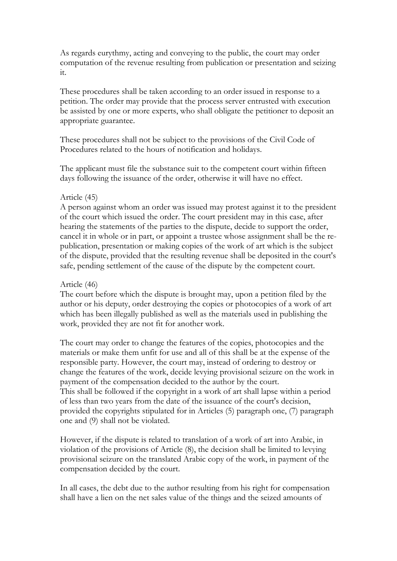As regards eurythmy, acting and conveying to the public, the court may order computation of the revenue resulting from publication or presentation and seizing it.

These procedures shall be taken according to an order issued in response to a petition. The order may provide that the process server entrusted with execution be assisted by one or more experts, who shall obligate the petitioner to deposit an appropriate guarantee.

These procedures shall not be subject to the provisions of the Civil Code of Procedures related to the hours of notification and holidays.

The applicant must file the substance suit to the competent court within fifteen days following the issuance of the order, otherwise it will have no effect.

### Article (45)

A person against whom an order was issued may protest against it to the president of the court which issued the order. The court president may in this case, after hearing the statements of the parties to the dispute, decide to support the order, cancel it in whole or in part, or appoint a trustee whose assignment shall be the republication, presentation or making copies of the work of art which is the subject of the dispute, provided that the resulting revenue shall be deposited in the court's safe, pending settlement of the cause of the dispute by the competent court.

### Article (46)

The court before which the dispute is brought may, upon a petition filed by the author or his deputy, order destroying the copies or photocopies of a work of art which has been illegally published as well as the materials used in publishing the work, provided they are not fit for another work.

The court may order to change the features of the copies, photocopies and the materials or make them unfit for use and all of this shall be at the expense of the responsible party. However, the court may, instead of ordering to destroy or change the features of the work, decide levying provisional seizure on the work in payment of the compensation decided to the author by the court. This shall be followed if the copyright in a work of art shall lapse within a period of less than two years from the date of the issuance of the court's decision, provided the copyrights stipulated for in Articles (5) paragraph one, (7) paragraph one and (9) shall not be violated.

However, if the dispute is related to translation of a work of art into Arabic, in violation of the provisions of Article (8), the decision shall be limited to levying provisional seizure on the translated Arabic copy of the work, in payment of the compensation decided by the court.

In all cases, the debt due to the author resulting from his right for compensation shall have a lien on the net sales value of the things and the seized amounts of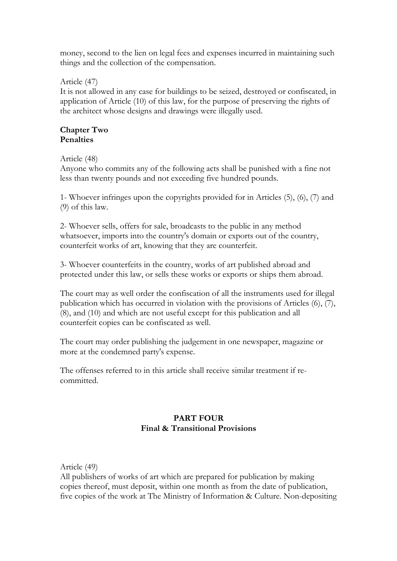money, second to the lien on legal fees and expenses incurred in maintaining such things and the collection of the compensation.

Article (47)

It is not allowed in any case for buildings to be seized, destroyed or confiscated, in application of Article (10) of this law, for the purpose of preserving the rights of the architect whose designs and drawings were illegally used.

### **Chapter Two Penalties**

## Article (48)

Anyone who commits any of the following acts shall be punished with a fine not less than twenty pounds and not exceeding five hundred pounds.

1- Whoever infringes upon the copyrights provided for in Articles (5), (6), (7) and (9) of this law.

2- Whoever sells, offers for sale, broadcasts to the public in any method whatsoever, imports into the country's domain or exports out of the country, counterfeit works of art, knowing that they are counterfeit.

3- Whoever counterfeits in the country, works of art published abroad and protected under this law, or sells these works or exports or ships them abroad.

The court may as well order the confiscation of all the instruments used for illegal publication which has occurred in violation with the provisions of Articles (6), (7), (8), and (10) and which are not useful except for this publication and all counterfeit copies can be confiscated as well.

The court may order publishing the judgement in one newspaper, magazine or more at the condemned party's expense.

The offenses referred to in this article shall receive similar treatment if recommitted.

# **PART FOUR Final & Transitional Provisions**

Article (49)

All publishers of works of art which are prepared for publication by making copies thereof, must deposit, within one month as from the date of publication, five copies of the work at The Ministry of Information & Culture. Non-depositing